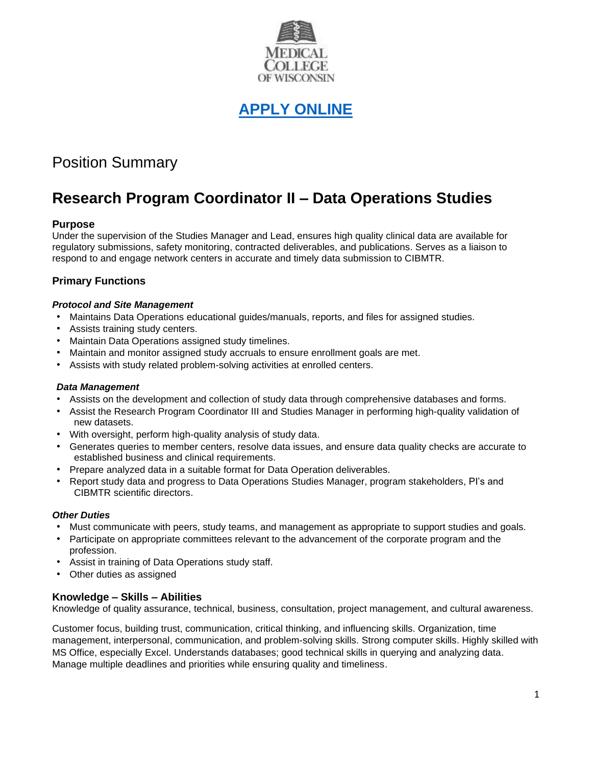

# **[APPLY ONLINE](https://careers.peopleclick.com/careerscp/client_medcollegewi/external_staff/gateway.do?functionName=viewFromLink&jobPostId=23723&localeCode=en-us)**

# Position Summary

# **Research Program Coordinator II – Data Operations Studies**

# **Purpose**

Under the supervision of the Studies Manager and Lead, ensures high quality clinical data are available for regulatory submissions, safety monitoring, contracted deliverables, and publications. Serves as a liaison to respond to and engage network centers in accurate and timely data submission to CIBMTR.

# **Primary Functions**

#### *Protocol and Site Management*

- Maintains Data Operations educational guides/manuals, reports, and files for assigned studies.
- Assists training study centers.
- Maintain Data Operations assigned study timelines.
- Maintain and monitor assigned study accruals to ensure enrollment goals are met.
- Assists with study related problem-solving activities at enrolled centers.

#### *Data Management*

- Assists on the development and collection of study data through comprehensive databases and forms.
- Assist the Research Program Coordinator III and Studies Manager in performing high-quality validation of new datasets.
- With oversight, perform high-quality analysis of study data.
- Generates queries to member centers, resolve data issues, and ensure data quality checks are accurate to established business and clinical requirements.
- Prepare analyzed data in a suitable format for Data Operation deliverables.
- Report study data and progress to Data Operations Studies Manager, program stakeholders, PI's and CIBMTR scientific directors.

#### *Other Duties*

- Must communicate with peers, study teams, and management as appropriate to support studies and goals.
- Participate on appropriate committees relevant to the advancement of the corporate program and the profession.
- Assist in training of Data Operations study staff.
- Other duties as assigned

# **Knowledge – Skills – Abilities**

Knowledge of quality assurance, technical, business, consultation, project management, and cultural awareness.

Customer focus, building trust, communication, critical thinking, and influencing skills. Organization, time management, interpersonal, communication, and problem-solving skills. Strong computer skills. Highly skilled with MS Office, especially Excel. Understands databases; good technical skills in querying and analyzing data. Manage multiple deadlines and priorities while ensuring quality and timeliness.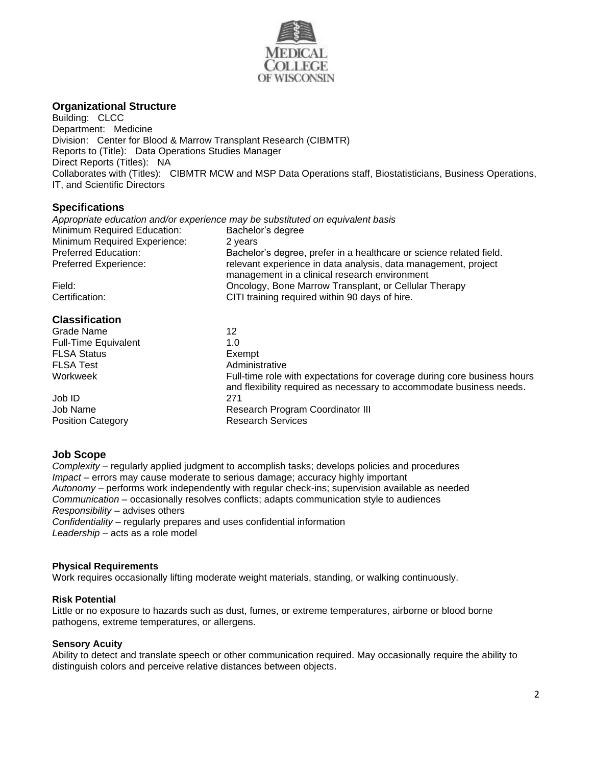

# **Organizational Structure**

Building: CLCC Department: Medicine Division: Center for Blood & Marrow Transplant Research (CIBMTR) Reports to (Title): Data Operations Studies Manager Direct Reports (Titles): NA Collaborates with (Titles): CIBMTR MCW and MSP Data Operations staff, Biostatisticians, Business Operations, IT, and Scientific Directors

# **Specifications**

| Appropriate education and/or experience may be substituted on equivalent basis |                                                                                                                 |
|--------------------------------------------------------------------------------|-----------------------------------------------------------------------------------------------------------------|
| Minimum Required Education:                                                    | Bachelor's degree                                                                                               |
| Minimum Required Experience:                                                   | 2 years                                                                                                         |
| <b>Preferred Education:</b>                                                    | Bachelor's degree, prefer in a healthcare or science related field.                                             |
| Preferred Experience:                                                          | relevant experience in data analysis, data management, project<br>management in a clinical research environment |
| Field:<br>Certification:                                                       | Oncology, Bone Marrow Transplant, or Cellular Therapy<br>CITI training required within 90 days of hire.         |

# **Classification**

| Grade Name                  | 12                                                                                                                                               |
|-----------------------------|--------------------------------------------------------------------------------------------------------------------------------------------------|
| <b>Full-Time Equivalent</b> | 1.0                                                                                                                                              |
| <b>FLSA Status</b>          | Exempt                                                                                                                                           |
| <b>FLSA Test</b>            | Administrative                                                                                                                                   |
| Workweek                    | Full-time role with expectations for coverage during core business hours<br>and flexibility required as necessary to accommodate business needs. |
| Job ID                      | 271                                                                                                                                              |
| Job Name                    | Research Program Coordinator III                                                                                                                 |
| <b>Position Category</b>    | <b>Research Services</b>                                                                                                                         |
|                             |                                                                                                                                                  |

# **Job Scope**

*Complexity –* regularly applied judgment to accomplish tasks; develops policies and procedures *Impact –* errors may cause moderate to serious damage; accuracy highly important *Autonomy –* performs work independently with regular check-ins; supervision available as needed *Communication –* occasionally resolves conflicts; adapts communication style to audiences *Responsibility –* advises others *Confidentiality –* regularly prepares and uses confidential information *Leadership –* acts as a role model

#### **Physical Requirements**

Work requires occasionally lifting moderate weight materials, standing, or walking continuously.

# **Risk Potential**

Little or no exposure to hazards such as dust, fumes, or extreme temperatures, airborne or blood borne pathogens, extreme temperatures, or allergens.

# **Sensory Acuity**

Ability to detect and translate speech or other communication required. May occasionally require the ability to distinguish colors and perceive relative distances between objects.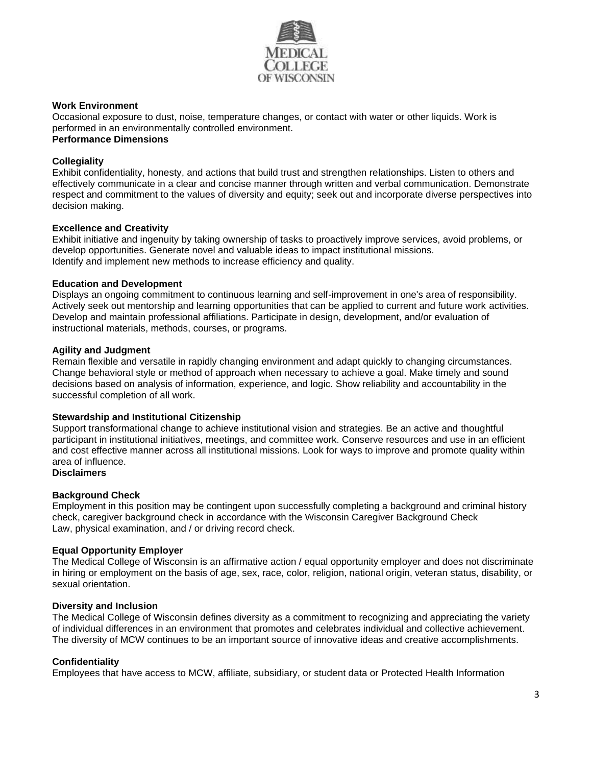

#### **Work Environment**

Occasional exposure to dust, noise, temperature changes, or contact with water or other liquids. Work is performed in an environmentally controlled environment.

# **Performance Dimensions**

#### **Collegiality**

Exhibit confidentiality, honesty, and actions that build trust and strengthen relationships. Listen to others and effectively communicate in a clear and concise manner through written and verbal communication. Demonstrate respect and commitment to the values of diversity and equity; seek out and incorporate diverse perspectives into decision making.

#### **Excellence and Creativity**

Exhibit initiative and ingenuity by taking ownership of tasks to proactively improve services, avoid problems, or develop opportunities. Generate novel and valuable ideas to impact institutional missions. Identify and implement new methods to increase efficiency and quality.

#### **Education and Development**

Displays an ongoing commitment to continuous learning and self-improvement in one's area of responsibility. Actively seek out mentorship and learning opportunities that can be applied to current and future work activities. Develop and maintain professional affiliations. Participate in design, development, and/or evaluation of instructional materials, methods, courses, or programs.

#### **Agility and Judgment**

Remain flexible and versatile in rapidly changing environment and adapt quickly to changing circumstances. Change behavioral style or method of approach when necessary to achieve a goal. Make timely and sound decisions based on analysis of information, experience, and logic. Show reliability and accountability in the successful completion of all work.

#### **Stewardship and Institutional Citizenship**

Support transformational change to achieve institutional vision and strategies. Be an active and thoughtful participant in institutional initiatives, meetings, and committee work. Conserve resources and use in an efficient and cost effective manner across all institutional missions. Look for ways to improve and promote quality within area of influence.

# **Disclaimers**

# **Background Check**

Employment in this position may be contingent upon successfully completing a background and criminal history check, caregiver background check in accordance with the Wisconsin Caregiver Background Check Law, physical examination, and / or driving record check.

# **Equal Opportunity Employer**

The Medical College of Wisconsin is an affirmative action / equal opportunity employer and does not discriminate in hiring or employment on the basis of age, sex, race, color, religion, national origin, veteran status, disability, or sexual orientation.

#### **Diversity and Inclusion**

The Medical College of Wisconsin defines diversity as a commitment to recognizing and appreciating the variety of individual differences in an environment that promotes and celebrates individual and collective achievement. The diversity of MCW continues to be an important source of innovative ideas and creative accomplishments.

# **Confidentiality**

Employees that have access to MCW, affiliate, subsidiary, or student data or Protected Health Information